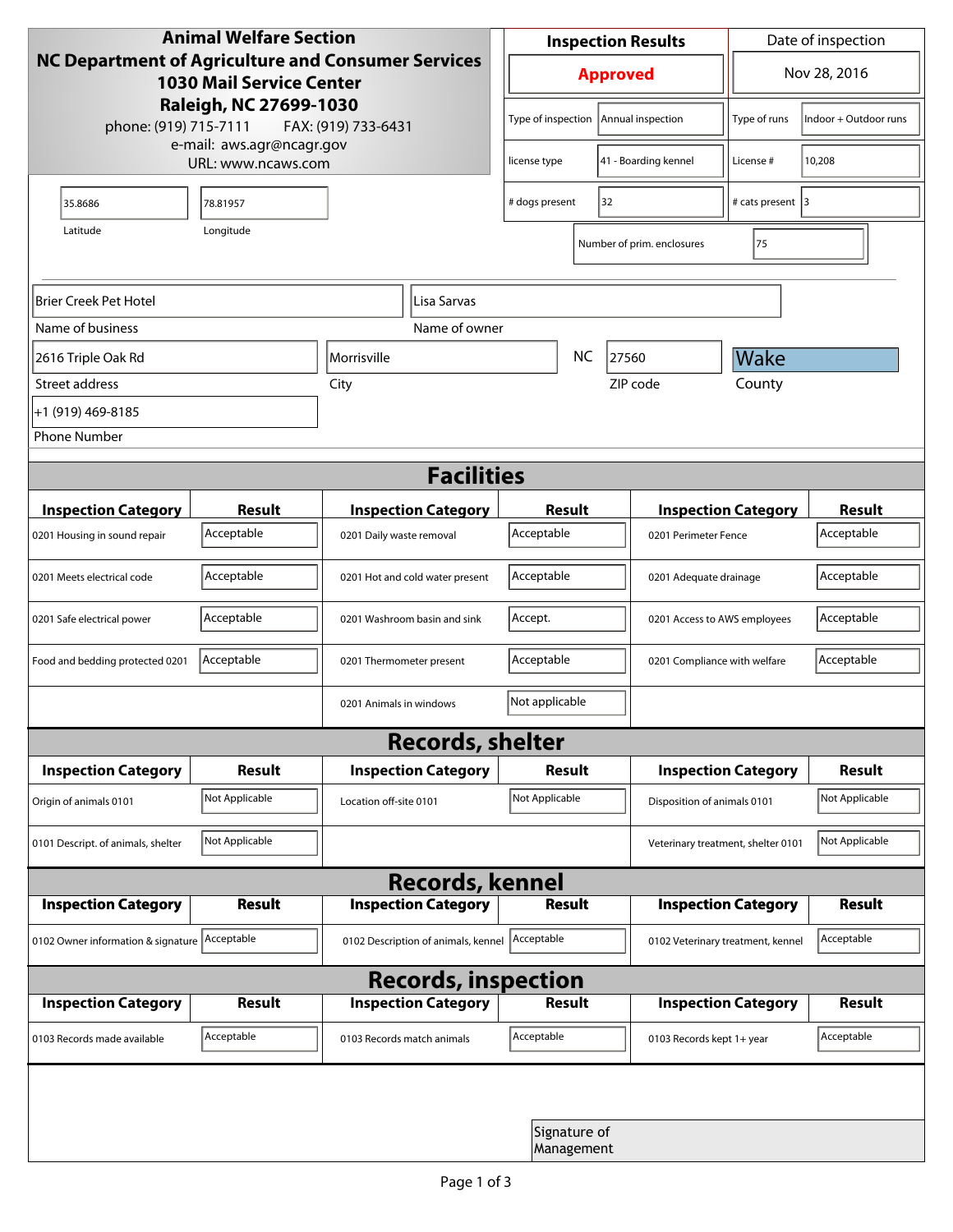| <b>Animal Welfare Section</b><br><b>NC Department of Agriculture and Consumer Services</b><br><b>1030 Mail Service Center</b> |                |                                                        |                         | <b>Inspection Results</b>  |           |                                    | Date of inspection                |                       |  |  |
|-------------------------------------------------------------------------------------------------------------------------------|----------------|--------------------------------------------------------|-------------------------|----------------------------|-----------|------------------------------------|-----------------------------------|-----------------------|--|--|
|                                                                                                                               |                |                                                        |                         | <b>Approved</b>            |           |                                    | Nov 28, 2016                      |                       |  |  |
| Raleigh, NC 27699-1030<br>phone: (919) 715-7111<br>FAX: (919) 733-6431<br>e-mail: aws.agr@ncagr.gov<br>URL: www.ncaws.com     |                |                                                        |                         | Type of inspection         |           | Annual inspection                  | Type of runs                      | Indoor + Outdoor runs |  |  |
|                                                                                                                               |                |                                                        |                         | license type               |           | 41 - Boarding kennel               | License #                         | 10,208                |  |  |
| 35.8686                                                                                                                       | 78.81957       |                                                        | 32<br># dogs present    |                            |           | # cats present 3                   |                                   |                       |  |  |
| Latitude                                                                                                                      | Longitude      |                                                        |                         |                            |           | Number of prim. enclosures         | 75                                |                       |  |  |
| Brier Creek Pet Hotel<br>Lisa Sarvas                                                                                          |                |                                                        |                         |                            |           |                                    |                                   |                       |  |  |
| Name of business                                                                                                              |                |                                                        | Name of owner           |                            |           |                                    |                                   |                       |  |  |
| 2616 Triple Oak Rd                                                                                                            |                | Morrisville                                            |                         |                            | <b>NC</b> | 27560                              | Wake                              |                       |  |  |
| Street address                                                                                                                | City           |                                                        |                         |                            |           | ZIP code                           | County                            |                       |  |  |
| +1 (919) 469-8185                                                                                                             |                |                                                        |                         |                            |           |                                    |                                   |                       |  |  |
| <b>Phone Number</b>                                                                                                           |                |                                                        |                         |                            |           |                                    |                                   |                       |  |  |
| <b>Facilities</b>                                                                                                             |                |                                                        |                         |                            |           |                                    |                                   |                       |  |  |
| <b>Inspection Category</b>                                                                                                    | <b>Result</b>  |                                                        |                         | <b>Result</b>              |           |                                    | <b>Inspection Category</b>        |                       |  |  |
| 0201 Housing in sound repair                                                                                                  | Acceptable     | <b>Inspection Category</b><br>0201 Daily waste removal |                         | Acceptable                 |           |                                    | 0201 Perimeter Fence              |                       |  |  |
| 0201 Meets electrical code                                                                                                    | Acceptable     | 0201 Hot and cold water present                        |                         | Acceptable                 |           |                                    | 0201 Adequate drainage            |                       |  |  |
| 0201 Safe electrical power                                                                                                    | Acceptable     | 0201 Washroom basin and sink                           |                         | Accept.                    |           |                                    | 0201 Access to AWS employees      |                       |  |  |
| Food and bedding protected 0201                                                                                               | Acceptable     | 0201 Thermometer present                               |                         | Acceptable                 |           |                                    | 0201 Compliance with welfare      |                       |  |  |
|                                                                                                                               |                | 0201 Animals in windows                                |                         | Not applicable             |           |                                    |                                   |                       |  |  |
|                                                                                                                               |                |                                                        | <b>Records, shelter</b> |                            |           |                                    |                                   |                       |  |  |
| <b>Inspection Category</b>                                                                                                    | <b>Result</b>  | <b>Inspection Category</b>                             |                         | Result                     |           |                                    | <b>Inspection Category</b>        | <b>Result</b>         |  |  |
| Origin of animals 0101                                                                                                        | Not Applicable | Location off-site 0101                                 |                         | Not Applicable             |           |                                    | Disposition of animals 0101       |                       |  |  |
| 0101 Descript. of animals, shelter                                                                                            | Not Applicable |                                                        |                         |                            |           | Veterinary treatment, shelter 0101 |                                   | Not Applicable        |  |  |
| <b>Records, kennel</b>                                                                                                        |                |                                                        |                         |                            |           |                                    |                                   |                       |  |  |
| <b>Inspection Category</b>                                                                                                    | Result         | <b>Inspection Category</b>                             |                         | <b>Result</b>              |           |                                    | <b>Inspection Category</b>        | Result                |  |  |
| 0102 Owner information & signature Acceptable                                                                                 |                | 0102 Description of animals, kennel                    |                         | Acceptable                 |           |                                    | 0102 Veterinary treatment, kennel |                       |  |  |
| <b>Records, inspection</b>                                                                                                    |                |                                                        |                         |                            |           |                                    |                                   |                       |  |  |
| <b>Inspection Category</b>                                                                                                    | <b>Result</b>  | <b>Inspection Category</b>                             |                         | <b>Result</b>              |           |                                    | <b>Inspection Category</b>        | <b>Result</b>         |  |  |
| 0103 Records made available                                                                                                   | Acceptable     | 0103 Records match animals                             |                         | Acceptable                 |           | 0103 Records kept 1+ year          |                                   | Acceptable            |  |  |
|                                                                                                                               |                |                                                        |                         |                            |           |                                    |                                   |                       |  |  |
|                                                                                                                               |                |                                                        |                         | Signature of<br>Management |           |                                    |                                   |                       |  |  |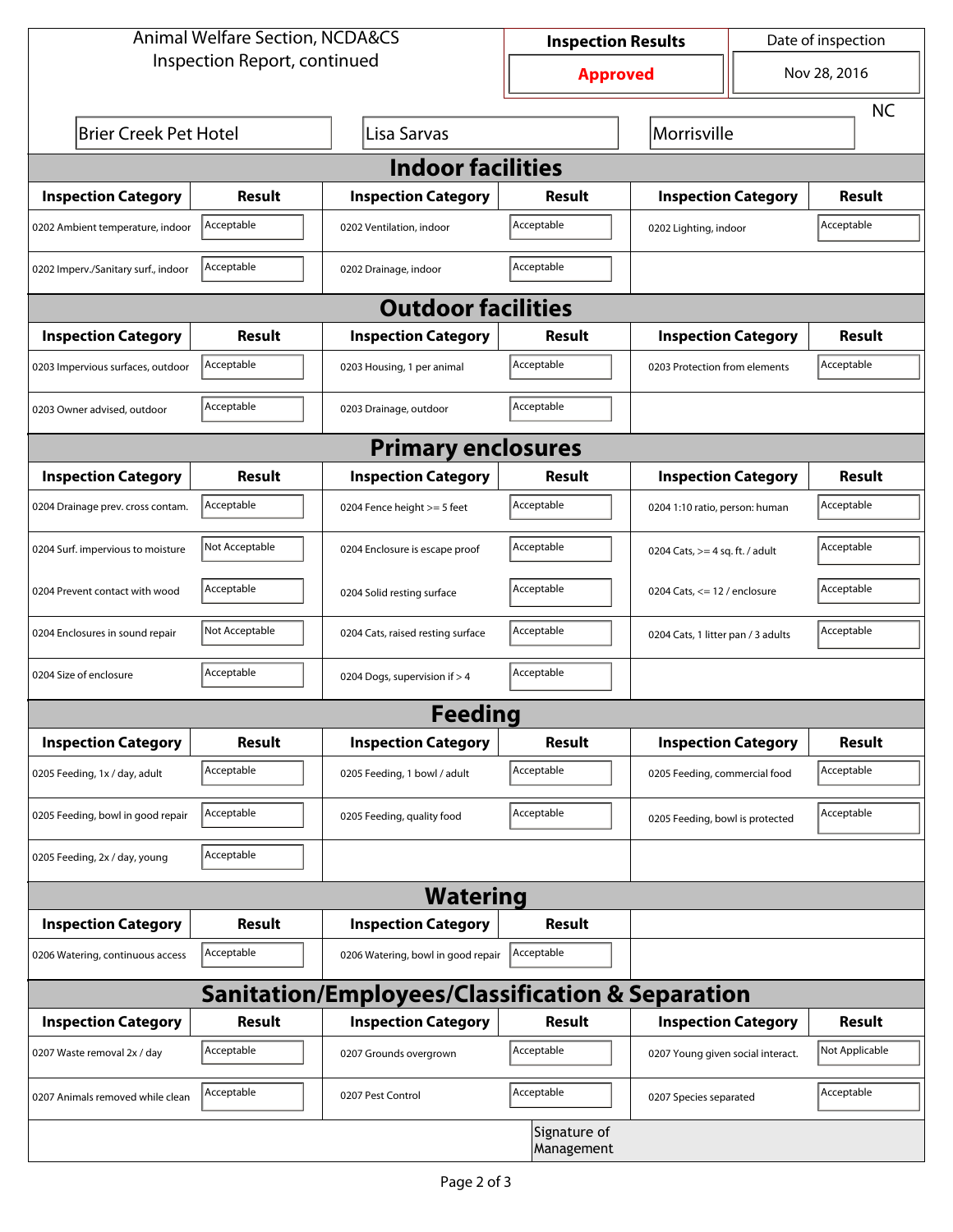| <b>Animal Welfare Section, NCDA&amp;CS</b>                  |                |                                    | <b>Inspection Results</b>  |                                    | Date of inspection         |                |  |  |  |
|-------------------------------------------------------------|----------------|------------------------------------|----------------------------|------------------------------------|----------------------------|----------------|--|--|--|
| Inspection Report, continued                                |                |                                    | <b>Approved</b>            |                                    | Nov 28, 2016               |                |  |  |  |
|                                                             |                |                                    |                            |                                    |                            | <b>NC</b>      |  |  |  |
| <b>Brier Creek Pet Hotel</b>                                | Morrisville    |                                    |                            |                                    |                            |                |  |  |  |
| <b>Indoor facilities</b>                                    |                |                                    |                            |                                    |                            |                |  |  |  |
| <b>Inspection Category</b>                                  | Result         | <b>Inspection Category</b>         | Result                     | <b>Inspection Category</b>         |                            | <b>Result</b>  |  |  |  |
| 0202 Ambient temperature, indoor                            | Acceptable     | 0202 Ventilation, indoor           | Acceptable                 | 0202 Lighting, indoor              |                            | Acceptable     |  |  |  |
| 0202 Imperv./Sanitary surf., indoor                         | Acceptable     | 0202 Drainage, indoor              | Acceptable                 |                                    |                            |                |  |  |  |
| <b>Outdoor facilities</b>                                   |                |                                    |                            |                                    |                            |                |  |  |  |
| <b>Inspection Category</b>                                  | Result         | <b>Inspection Category</b>         | Result                     |                                    | <b>Inspection Category</b> |                |  |  |  |
| 0203 Impervious surfaces, outdoor                           | Acceptable     | 0203 Housing, 1 per animal         | Acceptable                 | 0203 Protection from elements      |                            | Acceptable     |  |  |  |
| 0203 Owner advised, outdoor                                 | Acceptable     | 0203 Drainage, outdoor             | Acceptable                 |                                    |                            |                |  |  |  |
| <b>Primary enclosures</b>                                   |                |                                    |                            |                                    |                            |                |  |  |  |
| <b>Inspection Category</b>                                  | Result         | <b>Inspection Category</b>         | Result                     | <b>Inspection Category</b>         |                            | Result         |  |  |  |
| 0204 Drainage prev. cross contam.                           | Acceptable     | 0204 Fence height >= 5 feet        | Acceptable                 | 0204 1:10 ratio, person: human     |                            | Acceptable     |  |  |  |
| 0204 Surf. impervious to moisture                           | Not Acceptable | 0204 Enclosure is escape proof     | Acceptable                 | 0204 Cats, $>=$ 4 sq. ft. / adult  |                            | Acceptable     |  |  |  |
| 0204 Prevent contact with wood                              | Acceptable     | 0204 Solid resting surface         | Acceptable                 | 0204 Cats, $<= 12$ / enclosure     |                            | Acceptable     |  |  |  |
| 0204 Enclosures in sound repair                             | Not Acceptable | 0204 Cats, raised resting surface  | Acceptable                 | 0204 Cats, 1 litter pan / 3 adults |                            | Acceptable     |  |  |  |
| 0204 Size of enclosure                                      | Acceptable     | 0204 Dogs, supervision if > 4      | Acceptable                 |                                    |                            |                |  |  |  |
|                                                             |                | <b>Feeding</b>                     |                            |                                    |                            |                |  |  |  |
| <b>Inspection Category</b>                                  | <b>Result</b>  | <b>Inspection Category</b>         | Result                     | <b>Inspection Category</b>         |                            | <b>Result</b>  |  |  |  |
| 0205 Feeding, 1x / day, adult                               | Acceptable     | 0205 Feeding, 1 bowl / adult       | Acceptable                 | 0205 Feeding, commercial food      |                            | Acceptable     |  |  |  |
| 0205 Feeding, bowl in good repair                           | Acceptable     | 0205 Feeding, quality food         | Acceptable                 | 0205 Feeding, bowl is protected    |                            | Acceptable     |  |  |  |
| 0205 Feeding, 2x / day, young                               | Acceptable     |                                    |                            |                                    |                            |                |  |  |  |
|                                                             |                | <b>Watering</b>                    |                            |                                    |                            |                |  |  |  |
| <b>Inspection Category</b>                                  | <b>Result</b>  | <b>Inspection Category</b>         | Result                     |                                    |                            |                |  |  |  |
| 0206 Watering, continuous access                            | Acceptable     | 0206 Watering, bowl in good repair | Acceptable                 |                                    |                            |                |  |  |  |
| <b>Sanitation/Employees/Classification &amp; Separation</b> |                |                                    |                            |                                    |                            |                |  |  |  |
| <b>Inspection Category</b>                                  | <b>Result</b>  | <b>Inspection Category</b>         | Result                     | <b>Inspection Category</b>         |                            | <b>Result</b>  |  |  |  |
| 0207 Waste removal 2x / day                                 | Acceptable     | 0207 Grounds overgrown             | Acceptable                 | 0207 Young given social interact.  |                            | Not Applicable |  |  |  |
| 0207 Animals removed while clean                            | Acceptable     | 0207 Pest Control                  | Acceptable                 | 0207 Species separated             |                            | Acceptable     |  |  |  |
|                                                             |                |                                    | Signature of<br>Management |                                    |                            |                |  |  |  |